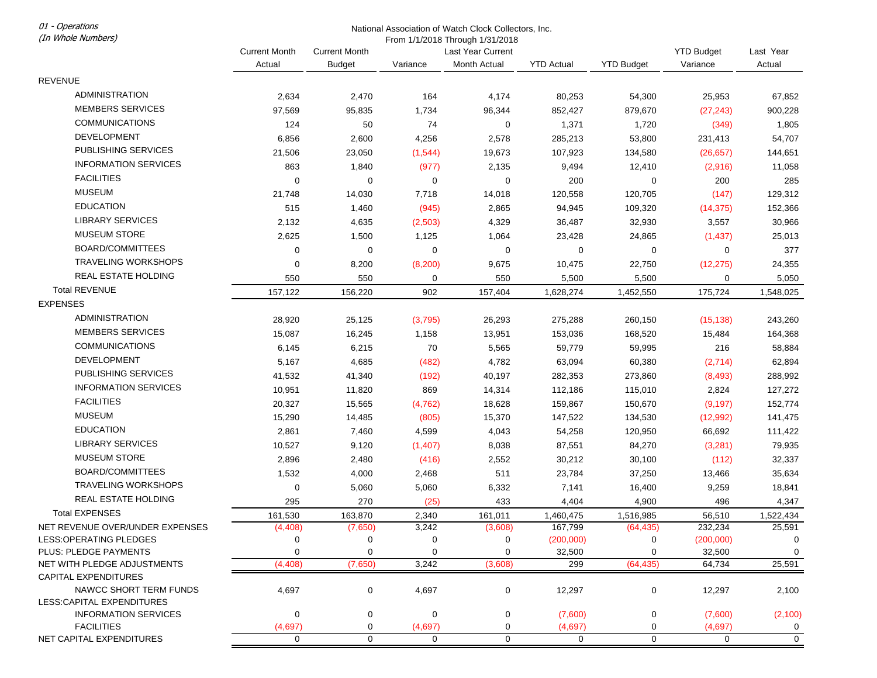01 - Operations (In Whole Numbers)

## National Association of Watch Clock Collectors, Inc.

From 1/1/2018 Through 1/31/2018

| (1)                                                  |                                |                                       |                      | <b>FIUIII I/TIZUTO THIUUGIT I/JTIZUTO</b> |                   |                   |                               |                       |
|------------------------------------------------------|--------------------------------|---------------------------------------|----------------------|-------------------------------------------|-------------------|-------------------|-------------------------------|-----------------------|
|                                                      | <b>Current Month</b><br>Actual | <b>Current Month</b><br><b>Budget</b> | Variance             | Last Year Current<br>Month Actual         | <b>YTD Actual</b> | <b>YTD Budget</b> | <b>YTD Budget</b><br>Variance | Last Year<br>Actual   |
| <b>REVENUE</b>                                       |                                |                                       |                      |                                           |                   |                   |                               |                       |
| <b>ADMINISTRATION</b>                                |                                |                                       |                      |                                           |                   |                   |                               |                       |
| <b>MEMBERS SERVICES</b>                              | 2,634                          | 2,470                                 | 164                  | 4,174                                     | 80,253            | 54,300            | 25,953                        | 67,852                |
|                                                      | 97,569                         | 95,835                                | 1,734                | 96,344                                    | 852,427           | 879,670           | (27, 243)                     | 900,228               |
| <b>COMMUNICATIONS</b>                                | 124                            | 50                                    | 74                   | 0                                         | 1,371             | 1,720             | (349)                         | 1,805                 |
| <b>DEVELOPMENT</b>                                   | 6,856                          | 2,600                                 | 4,256                | 2,578                                     | 285,213           | 53,800            | 231,413                       | 54,707                |
| <b>PUBLISHING SERVICES</b>                           | 21,506                         | 23,050                                | (1, 544)             | 19,673                                    | 107,923           | 134,580           | (26, 657)                     | 144,651               |
| <b>INFORMATION SERVICES</b>                          | 863                            | 1,840                                 | (977)                | 2,135                                     | 9,494             | 12,410            | (2,916)                       | 11,058                |
| <b>FACILITIES</b>                                    | 0                              | $\mathbf 0$                           | 0                    | 0                                         | 200               | 0                 | 200                           | 285                   |
| <b>MUSEUM</b>                                        | 21,748                         | 14,030                                | 7,718                | 14,018                                    | 120,558           | 120,705           | (147)                         | 129,312               |
| <b>EDUCATION</b>                                     | 515                            | 1,460                                 | (945)                | 2,865                                     | 94,945            | 109,320           | (14, 375)                     | 152,366               |
| <b>LIBRARY SERVICES</b>                              | 2,132                          | 4,635                                 | (2,503)              | 4,329                                     | 36,487            | 32,930            | 3,557                         | 30,966                |
| <b>MUSEUM STORE</b>                                  | 2,625                          | 1,500                                 | 1,125                | 1,064                                     | 23,428            | 24,865            | (1, 437)                      | 25,013                |
| BOARD/COMMITTEES                                     | 0                              | $\mathbf 0$                           | $\mathbf 0$          | 0                                         | 0                 | 0                 | 0                             | 377                   |
| <b>TRAVELING WORKSHOPS</b>                           | $\mathbf 0$                    | 8,200                                 | (8, 200)             | 9,675                                     | 10,475            | 22,750            | (12, 275)                     | 24,355                |
| <b>REAL ESTATE HOLDING</b>                           | 550                            | 550                                   | 0                    | 550                                       | 5,500             | 5,500             | 0                             | 5,050                 |
| <b>Total REVENUE</b>                                 | 157,122                        | 156,220                               | 902                  | 157,404                                   | 1,628,274         | 1,452,550         | 175,724                       | 1,548,025             |
| <b>EXPENSES</b>                                      |                                |                                       |                      |                                           |                   |                   |                               |                       |
| <b>ADMINISTRATION</b>                                | 28,920                         | 25,125                                | (3,795)              | 26,293                                    | 275,288           | 260,150           | (15, 138)                     | 243,260               |
| <b>MEMBERS SERVICES</b>                              | 15,087                         | 16,245                                | 1,158                | 13,951                                    | 153,036           | 168,520           | 15,484                        | 164,368               |
| <b>COMMUNICATIONS</b>                                | 6,145                          | 6,215                                 | 70                   | 5,565                                     | 59,779            | 59,995            | 216                           | 58,884                |
| DEVELOPMENT                                          | 5,167                          | 4,685                                 | (482)                | 4,782                                     | 63,094            | 60,380            | (2,714)                       | 62,894                |
| PUBLISHING SERVICES                                  | 41,532                         | 41,340                                | (192)                | 40,197                                    | 282,353           | 273,860           | (8, 493)                      | 288,992               |
| <b>INFORMATION SERVICES</b>                          | 10,951                         | 11,820                                | 869                  | 14,314                                    | 112,186           | 115,010           | 2,824                         | 127,272               |
| <b>FACILITIES</b>                                    |                                |                                       |                      |                                           |                   |                   |                               |                       |
| <b>MUSEUM</b>                                        | 20,327                         | 15,565                                | (4, 762)             | 18,628                                    | 159,867           | 150,670           | (9, 197)                      | 152,774               |
| <b>EDUCATION</b>                                     | 15,290                         | 14,485                                | (805)                | 15,370                                    | 147,522           | 134,530           | (12,992)                      | 141,475               |
| <b>LIBRARY SERVICES</b>                              | 2,861                          | 7,460                                 | 4,599                | 4,043                                     | 54,258            | 120,950           | 66,692                        | 111,422               |
|                                                      | 10,527                         | 9,120                                 | (1,407)              | 8,038                                     | 87,551            | 84,270            | (3,281)                       | 79,935                |
| <b>MUSEUM STORE</b>                                  | 2,896                          | 2,480                                 | (416)                | 2,552                                     | 30,212            | 30,100            | (112)                         | 32,337                |
| BOARD/COMMITTEES                                     | 1,532                          | 4,000                                 | 2,468                | 511                                       | 23,784            | 37,250            | 13,466                        | 35,634                |
| <b>TRAVELING WORKSHOPS</b>                           | 0                              | 5,060                                 | 5,060                | 6,332                                     | 7,141             | 16,400            | 9,259                         | 18,841                |
| REAL ESTATE HOLDING                                  | 295                            | 270                                   | (25)                 | 433                                       | 4,404             | 4,900             | 496                           | 4,347                 |
| <b>Total EXPENSES</b>                                | 161,530                        | 163,870                               | 2,340                | 161,011                                   | 1,460,475         | 1,516,985         | 56,510                        | 1,522,434             |
| NET REVENUE OVER/UNDER EXPENSES                      | (4, 408)                       | (7,650)                               | 3,242                | (3,608)                                   | 167,799           | (64, 435)         | 232,234                       | 25,591                |
| LESS: OPERATING PLEDGES                              | 0                              | 0                                     | 0                    | 0                                         | (200,000)         | 0                 | (200,000)                     | 0                     |
| PLUS: PLEDGE PAYMENTS<br>NET WITH PLEDGE ADJUSTMENTS | 0<br>(4, 408)                  | $\mathbf 0$<br>(7,650)                | $\mathbf 0$<br>3,242 | 0<br>(3,608)                              | 32,500<br>299     | 0<br>(64, 435)    | 32,500<br>64,734              | $\mathbf 0$<br>25,591 |
| <b>CAPITAL EXPENDITURES</b>                          |                                |                                       |                      |                                           |                   |                   |                               |                       |
| NAWCC SHORT TERM FUNDS                               | 4,697                          |                                       | 4,697                |                                           | 12,297            |                   | 12,297                        |                       |
| LESS:CAPITAL EXPENDITURES                            |                                | 0                                     |                      | 0                                         |                   | $\mathbf 0$       |                               | 2,100                 |
| <b>INFORMATION SERVICES</b>                          | $\mathbf 0$                    | $\mathbf 0$                           | $\mathbf 0$          | 0                                         | (7,600)           | $\mathbf 0$       | (7,600)                       | (2,100)               |
| <b>FACILITIES</b>                                    | (4,697)                        | 0                                     | (4,697)              | 0                                         | (4,697)           | 0                 | (4,697)                       | 0                     |
| NET CAPITAL EXPENDITURES                             | $\mathbf 0$                    | $\mathbf 0$                           | $\mathbf 0$          | $\mathbf 0$                               | $\mathbf 0$       | $\mathbf 0$       | $\mathbf{0}$                  | $\mathbf 0$           |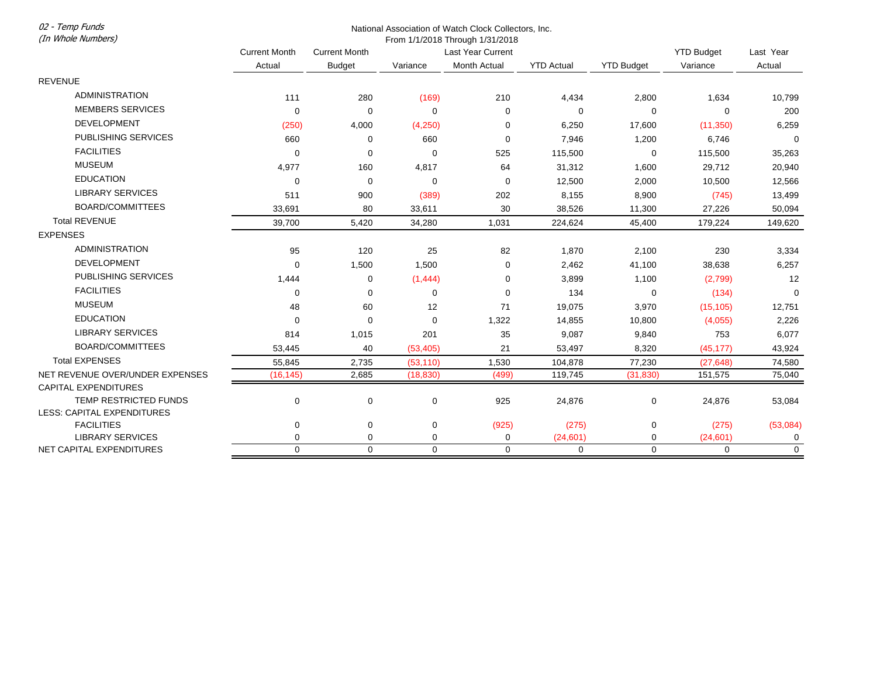02 - Temp Funds (In Whole Numbers)

## National Association of Watch Clock Collectors, Inc.

From 1/1/2018 Through 1/31/2018

|                                 | <b>Current Month</b><br>Actual | <b>Current Month</b> | Last Year Current |              |                   |                   | <b>YTD Budget</b> | Last Year   |
|---------------------------------|--------------------------------|----------------------|-------------------|--------------|-------------------|-------------------|-------------------|-------------|
|                                 |                                | <b>Budget</b>        | Variance          | Month Actual | <b>YTD Actual</b> | <b>YTD Budget</b> | Variance          | Actual      |
| <b>REVENUE</b>                  |                                |                      |                   |              |                   |                   |                   |             |
| <b>ADMINISTRATION</b>           | 111                            | 280                  | (169)             | 210          | 4,434             | 2,800             | 1,634             | 10,799      |
| <b>MEMBERS SERVICES</b>         | $\mathbf 0$                    | $\mathbf 0$          | $\Omega$          | $\Omega$     | $\mathbf 0$       | $\mathbf 0$       | 0                 | 200         |
| <b>DEVELOPMENT</b>              | (250)                          | 4,000                | (4,250)           | 0            | 6,250             | 17,600            | (11,350)          | 6,259       |
| PUBLISHING SERVICES             | 660                            | 0                    | 660               | $\Omega$     | 7,946             | 1,200             | 6,746             | $\mathbf 0$ |
| <b>FACILITIES</b>               | $\mathbf 0$                    | 0                    | $\mathbf 0$       | 525          | 115,500           | 0                 | 115,500           | 35,263      |
| <b>MUSEUM</b>                   | 4,977                          | 160                  | 4,817             | 64           | 31,312            | 1,600             | 29,712            | 20,940      |
| <b>EDUCATION</b>                | $\mathbf 0$                    | 0                    | $\mathbf 0$       | 0            | 12,500            | 2,000             | 10,500            | 12,566      |
| <b>LIBRARY SERVICES</b>         | 511                            | 900                  | (389)             | 202          | 8,155             | 8,900             | (745)             | 13,499      |
| BOARD/COMMITTEES                | 33,691                         | 80                   | 33,611            | 30           | 38,526            | 11,300            | 27,226            | 50,094      |
| <b>Total REVENUE</b>            | 39,700                         | 5,420                | 34,280            | 1,031        | 224,624           | 45,400            | 179,224           | 149,620     |
| <b>EXPENSES</b>                 |                                |                      |                   |              |                   |                   |                   |             |
| <b>ADMINISTRATION</b>           | 95                             | 120                  | 25                | 82           | 1,870             | 2,100             | 230               | 3,334       |
| <b>DEVELOPMENT</b>              | $\mathbf 0$                    | 1,500                | 1,500             | 0            | 2,462             | 41,100            | 38,638            | 6,257       |
| PUBLISHING SERVICES             | 1,444                          | 0                    | (1, 444)          | 0            | 3,899             | 1,100             | (2,799)           | 12          |
| <b>FACILITIES</b>               | $\Omega$                       | $\mathbf 0$          | $\Omega$          | $\Omega$     | 134               | $\mathbf 0$       | (134)             | $\mathbf 0$ |
| <b>MUSEUM</b>                   | 48                             | 60                   | 12                | 71           | 19,075            | 3,970             | (15, 105)         | 12,751      |
| <b>EDUCATION</b>                | $\Omega$                       | $\mathbf 0$          | $\Omega$          | 1,322        | 14,855            | 10,800            | (4,055)           | 2,226       |
| <b>LIBRARY SERVICES</b>         | 814                            | 1,015                | 201               | 35           | 9,087             | 9,840             | 753               | 6,077       |
| BOARD/COMMITTEES                | 53,445                         | 40                   | (53, 405)         | 21           | 53,497            | 8,320             | (45, 177)         | 43,924      |
| <b>Total EXPENSES</b>           | 55,845                         | 2,735                | (53, 110)         | 1,530        | 104,878           | 77,230            | (27, 648)         | 74,580      |
| NET REVENUE OVER/UNDER EXPENSES | (16, 145)                      | 2,685                | (18, 830)         | (499)        | 119,745           | (31, 830)         | 151,575           | 75,040      |
| <b>CAPITAL EXPENDITURES</b>     |                                |                      |                   |              |                   |                   |                   |             |
| TEMP RESTRICTED FUNDS           | 0                              | $\pmb{0}$            | 0                 | 925          | 24,876            | 0                 | 24,876            | 53,084      |
| LESS: CAPITAL EXPENDITURES      |                                |                      |                   |              |                   |                   |                   |             |
| <b>FACILITIES</b>               | 0                              | 0                    | 0                 | (925)        | (275)             | 0                 | (275)             | (53,084)    |
| <b>LIBRARY SERVICES</b>         | $\mathbf 0$                    | 0                    | 0                 | 0            | (24, 601)         | 0                 | (24, 601)         | 0           |
| NET CAPITAL EXPENDITURES        | $\Omega$                       | $\Omega$             | $\Omega$          | $\Omega$     | $\Omega$          | $\mathbf 0$       | $\Omega$          | $\mathbf 0$ |